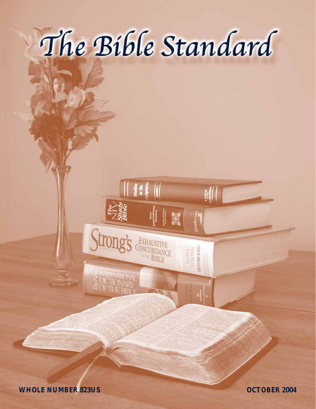

Strong's CONCORDANCE

**E INTERNATION**<br>S DICTIONAL<br>SOFTHE BIB

sondervan

**JAMES**<br>STRONG<br>**HENDRUKSSYN** 

**WHOLE NUMBER 823US OCTOBER 2004**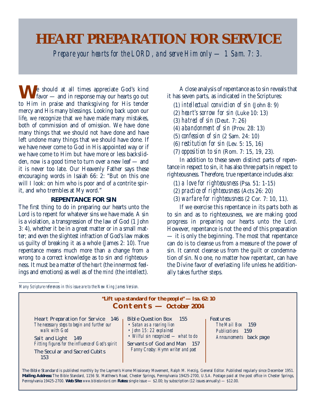# **HEART PREPARATION FOR SERVICE**

*Prepare your hearts for the LORD, and serve Him only — 1 Sam. 7: 3.*

**N** Je should at all times appreciate God's kind favor — and in response may our hearts go out to Him in praise and thanksgiving for His tender mercy and His many blessings. Looking back upon our life, we recognize that we have made many mistakes, both of commission and of omission. We have done many things that we should not have done and have left undone many things that we should have done. If we have never come to God in His appointed way or if we have come to Him but have more or less backslidden, now is a good time to turn over a new leaf — and it is never too late. Our Heavenly Father says these encouraging words in Isaiah 66: 2: "But on this one will I look: on him who is poor and of a contrite spirit, and who trembles at My word."

# **REPENTANCE FOR SIN**

The first thing to do in preparing our hearts unto the Lord is to repent for whatever sins we have made. A sin is a violation, a transgression of the law of God (1 John 3: 4), whether it be in a great matter or in a small matter; and even the slightest infraction of God's law makes us guilty of breaking it as a whole (James 2: 10). True repentance means much more than a change from a wrong to a correct knowledge as to sin and righteousness. It must be a matter of the *heart* (the innermost feelings and emotions) as well as of the *mind* (the intellect).

A close analysis of repentance as to sin reveals that it has seven parts, as indicated in the Scriptures:

- (1) *intellectual conviction of sin* (John 8: 9)
- (2) *heart's sorrow for sin* (Luke 10: 13)
- (3) *hatred of sin* (Deut. 7: 26)
- (4) *abandonment of sin* (Prov. 28: 13)
- (5) *confession of sin* (2 Sam. 24: 10)
- (6) *restitution for sin* (Lev. 5: 15, 16)
- (7) *opposition to sin* (Rom. 7: 15, 19, 23).

In addition to these seven distinct parts of repentance in respect to sin, it has also three parts in respect to righteousness. Therefore, true repentance includes also:

- (1) *a love for righteousness* (Psa. 51: 1-15)
- (2) *practice of righteousness* (Acts 26: 20)
- (3) *warfare for righteousness* (2 Cor. 7: 10, 11).

If we exercise this repentance in its parts both as to sin and as to righteousness, we are making good progress in preparing our hearts unto the Lord. However, repentance is not the end of this preparation — it is only the beginning. The most that repentance can do is to cleanse us from a measure of the power of sin. It cannot cleanse us from the guilt or condemnation of sin. No one, no matter how repentant, can have the Divine favor of everlasting life unless he additionally takes further steps.

*Many Scripture references in this issue are to the New King James Version.*

| "Lift up a standard for the people" $-$ Isa. 62: 10<br>$\mathbf{Conterns} - \mathbf{October 2004}$                                                                                                                    |                                                                                                                                                                                             |                                                                             |  |  |
|-----------------------------------------------------------------------------------------------------------------------------------------------------------------------------------------------------------------------|---------------------------------------------------------------------------------------------------------------------------------------------------------------------------------------------|-----------------------------------------------------------------------------|--|--|
| Heart Preparation for Service 146<br>The necessary steps to begin and further our<br>walk with God<br>Salt and Light 149<br>Fitting figures for the influence of God's spirit<br>The Secular and Sacred Cubits<br>153 | Bible Question Box 155<br>• Satan as a roaring lion<br>• John 15: 22 explained<br>• Wilful sin recognized - what to do<br>Servants of God and Man 157<br>Fanny Crosby: Hymn writer and poet | Features<br>The Mail Box 159<br>Publications 159<br>Announcements back page |  |  |

The Bible Standard is published monthly by the Laymen's Home Missionary Movement, Ralph M. Herzig, General Editor. Published regularly since December 1951. **Mailing Address:** The Bible Standard, 1156 St. Matthew's Road, Chester Springs, Pennsylvania 19425-2700, U.S.A. Postage paid at the post office in Chester Springs, Pennsylvania 19425-2700. **Web Site:** *www.biblestandard.com* **Rates:** single issue — \$2.00; by subscription (12 issues annually) — \$12.00.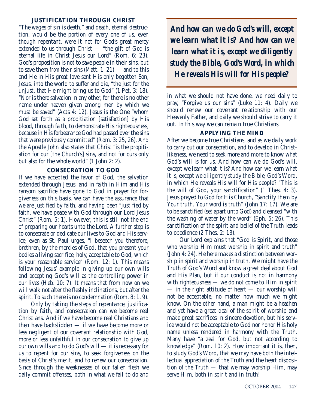# **JUSTIFICATION THROUGH CHRIST**

"The wages of sin is death," and death, eternal destruction, would be the portion of every one of us, even though repentant, were it not for God's great mercy extended to us through Christ — "the gift of God is eternal life in Christ Jesus our Lord" (Rom. 6: 23). God's proposition is not to save people in their sins, but to save them *from* their sins (Matt. 1: 21) — and to this end He in His great love sent His only begotten Son, Jesus, into the world to suffer and die, "the just for the unjust, that He might bring us to God" (1 Pet. 3: 18). "Nor is there salvation in any other, for there is no other name under heaven given among men by which we must be saved" (Acts 4: 12). Jesus is the One "whom God set forth as a propitiation [satisfaction] by His blood, through faith, to demonstrate His righteousness, because in His forbearance God had passed over the sins that were previously committed" (Rom. 3: 25, 26). And the Apostle John also states that Christ "is the propitiation for our [the Church's] sins, and not for ours only but also for the whole world" (1 John 2: 2).

# **CONSECRATION TO GOD**

If we have accepted the favor of God, the salvation extended through Jesus, and in faith in Him and His ransom sacrifice have gone to God in prayer for forgiveness on this basis, we can have the assurance that we are justified by faith, and having been "justified by faith, we have peace with God through our Lord Jesus Christ" (Rom. 5: 1). However, this is still not the end of preparing our hearts unto the Lord. A further step is to consecrate or dedicate our lives to God and His service, even as St. Paul urges, "I beseech you therefore, brethren, by the mercies of God, that you present your bodies a living sacrifice, holy, acceptable to God, which is your reasonable service" (Rom. 12: 1). This means following Jesus' example in giving up our own wills and accepting God's will as the controlling power in our lives (Heb. 10: 7). It means that from now on we will walk not after the fleshly inclinations, but after the spirit. To such there is no condemnation (Rom. 8: 1, 9).

Only by taking the steps of repentance, justification by faith, and consecration can we become real Christians. And if we have become real Christians and then have backslidden — if we have become more or less negligent of our covenant relationship with God, more or less unfaithful in our consecration to give up our own wills and to do God's will — it is necessary for us to repent for our sins, to seek forgiveness on the basis of Christ's merit, and to renew our consecration. Since through the weaknesses of our fallen flesh we daily commit offenses, both in what we fail to do and

*And how can we do God's will, except we learn what it is? And how can we learn what it is, except we diligently study the Bible, God's Word, in which He reveals His will for His people?*

in what we should not have done, we need daily to pray, "Forgive us our sins" (Luke 11: 4). Daily we should renew our covenant relationship with our Heavenly Father, and daily we should strive to carry it out. In this way we can remain true Christians.

# **APPLYING THE MIND**

After we become true Christians, and as we daily work to carry out our consecration, and to develop in Christlikeness, we need to seek more and more to know what God's will is for us. And how can we do God's will, except we learn what it is? And how can we learn what it is, except we diligently study the Bible, God's Word, in which He reveals His will for His people? "This is the will of God, your sanctification" (1 Thes. 4: 3). Jesus prayed to God for His Church, "Sanctify them by Your truth. Your word is truth" (John 17: 17). We are to be sanctified (set apart unto God) and cleansed "with the washing of water by the word" (Eph. 5: 26). This sanctification of the spirit and belief of the Truth leads to obedience (2 Thes. 2: 13).

Our Lord explains that "God is Spirit, and those who worship Him must worship in spirit and truth" (John 4: 24). He here makes a distinction between worship in spirit and worship in truth. We might have the Truth of God's Word and know a great deal about God and His Plan, but if our conduct is not in harmony with righteousness — we do not come to Him in spirit — in the right attitude of heart — our worship will not be acceptable, no matter how much we might know. On the other hand, a man might be a heathen and yet have a great deal of the spirit of worship and make great sacrifices in sincere devotion, but his service would not be acceptable to God nor honor His holy name unless rendered in harmony with the Truth. Many have "a zeal for God, but not according to knowledge" (Rom. 10: 2). How important it is, then, to study God's Word, that we may have both the intellectual appreciation of the Truth and the heart disposition of the Truth — that we may worship Him, may serve Him, both in spirit and in truth!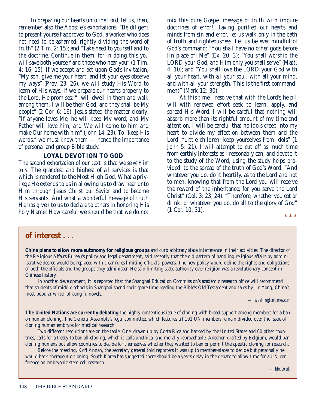In preparing our hearts unto the Lord, let us, then, remember also the Apostle's exhortations: "Be diligent to present yourself approved to God, a worker who does not need to be ashamed, rightly dividing the word of truth" (2 Tim. 2: 15); and "Take heed to yourself and to the doctrine. Continue in them, for in doing this you will save both yourself and those who hear you" (1 Tim. 4: 16, 15). If we accept and act upon God's invitation, "My son, give me your heart, and let your eyes observe my ways" (Prov. 23: 26), we will study His Word to learn of His ways. If we prepare our hearts properly to the Lord, He promises: "I will dwell in them and walk among them. I will be their God, and they shall be My people" (2 Cor. 6: 16). Jesus stated the matter clearly: "If anyone loves Me, he will keep My word; and My Father will love him, and We will come to him and make Our home with him" (John 14: 23). To "keep His words," we must know them — hence the importance of personal and group Bible study.

# **LOYAL DEVOTION TO GOD**

The second exhortation of our text is that we *serve Him only.* The grandest and highest of all services is that which is rendered to the Most High God. What a privilege He extends to us in allowing us to draw near unto Him through Jesus Christ our Savior and to become His servants! And what a wonderful message of truth He has given to us to declare to others in honoring His holy Name! How careful we should be that we do not

mix this pure Gospel message of truth with impure doctrines of error! Having purified our hearts and minds from sin and error, let us walk only in the path of truth and righteousness. Let us be ever mindful of God's command: "You shall have no other gods before [in place of] Me" (Ex. 20: 3); "You shall worship the LORD your God, and Him only you shall serve" (Matt. 4: 10); and "You shall love the LORD your God with all your heart, with all your soul, with all your mind, and with all your strength. This is the first commandment" (Mark 12: 30).

At this time I resolve that with the Lord's help I will with renewed effort seek to learn, apply, and spread His Word. I will be careful that nothing will absorb more than its rightful amount of my time and attention. I will be careful that no idols creep into my heart to divide my affection between them and the Lord. "Little children, keep yourselves from idols" (1 John 5: 21). I will attempt to cut off as much time from earthly interests as I reasonably can, and devote it to the study of the Word, using the study helps provided, to the spread of the truth of God's Word. "And whatever you do, do it heartily, as to the Lord and not to men, knowing that from the Lord you will receive the reward of the inheritance; for you serve the Lord Christ" (Col. 3: 23, 24). "Therefore, whether you eat or drink, or whatever you do, do all to the glory of God" (1 Cor. 10: 31).

# **of interest . . .**

**China plans to allow more autonomy for religious groups** and curb arbitrary state interference in their activities. The director of the Religious Affairs Bureau's policy and legal department, said recently that the old pattern of handling religious affairs by administrative decree would be replaced with clear rules limiting officials' powers. The new policy would define the rights and obligations of both the officials and the groups they administer. He said limiting state authority over religion was a revolutionary concept in Chinese history.

In another development, it is reported that the Shanghai Education Commission's academic research office will recommend that students of middle schools in Shanghai spend their spare time reading the Bible's Old Testament and tales by Jin Yong, China's most popular writer of kung fu novels.

*— washingtontimes.com*

\* \* \*

**The United Nations are currently debating** the highly contentious issue of cloning with broad support among members for a ban on human cloning. The General Assembly's legal committee, which features all 191 UN members remain divided over the issue of cloning human embryos for medical research.

Two different resolutions are on the table: One, drawn up by Costa Rica and backed by the United States and 60 other countries, calls for a treaty to ban all cloning, which it calls unethical and morally reproachable. Another, drafted by Belgium, would ban cloning humans but allow countries to decide for themselves whether they wanted to ban or permit therapeutic cloning for research.

Before the meeting, Kofi Annan, the secretary general told reporters it was up to member-states to decide but personally he would back therapeutic cloning. South Korea has suggested there should be a year's delay in the debate to allow time for a UN conference on embryonic stem cell research.

*— bbc.co.uk*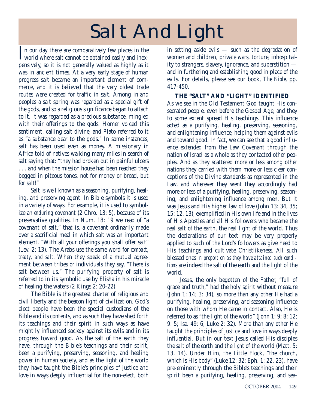# Salt And Light

In our day there are comparatively few places in the<br>world where salt cannot be obtained easily and inex-In our day there are comparatively few places in the pensively, so it is not generally valued as highly as it was in ancient times. At a very early stage of human progress salt became an important element of commerce, and it is believed that the very oldest trade routes were created for traffic in salt. Among inland peoples a salt spring was regarded as a special gift of the gods, and so a religious significance began to attach to it. It was regarded as a precious substance, mingled with their offerings to the gods. Homer voiced this sentiment, calling salt divine, and Plato referred to it as "a substance dear to the gods." In some instances, salt has been used even as money. A missionary in Africa told of natives walking many miles in search of salt saying that: "they had broken out in painful ulcers . . . and when the mission house had been reached they begged in piteous tones, not for money or bread, but for *salt*!"

Salt is well known as a seasoning, purifying, healing, and preserving agent. In Bible symbols it is used in a variety of ways. For example, it is used to symbolize an *enduring* covenant (2 Chro. 13: 5), because of its preservative qualities. In Num. 18: 19 we read of "a covenant of salt," that is, a covenant ordinarily made over a sacrificial meal in which salt was an important element. "With all your offerings you shall offer salt" (Lev. 2: 13). The Arabs use the same word for *compact, treaty, and salt*. When they speak of a mutual agreement between tribes or individuals they say, "There is salt between us." The purifying property of salt is referred to in its symbolic use by Elisha in his miracle of healing the waters (2 Kings 2: 20-22).

The Bible is the greatest charter of religious and civil liberty and the beacon light of civilization. God's elect people have been the special custodians of the Bible and its contents, and as such they have shed forth its teachings and their spirit in such ways as have mightily influenced society against its evils and in its progress toward good. As the salt of the earth they have, through the Bible's teachings and their spirit, been a purifying, preserving, seasoning, and healing power in human society, and as the light of the world they have taught the Bible's principles of justice and love in ways deeply influential for the non-elect, both

in setting aside evils — such as the degradation of women and children, private wars, torture, inhospitality to strangers, slavery, ignorance, and superstition and in furthering and establishing good in place of the evils. For details, please see our book, *The Bible*, pp. 417-450.

**THE "SALT" AND "LIGHT" IDENTIFIED** As we see in the Old Testament God taught His consecrated people, even before the Gospel Age, and they to some extent spread His teachings. This influence acted as a purifying, healing, preserving, seasoning, and enlightening influence, helping them against evils and toward good. In fact, we can see that a good influence extended from the Law Covenant through the nation of Israel as a whole as they contacted other peoples. And as they scattered more or less among other nations they carried with them more or less clear conceptions of the Divine standards as represented in the Law, and wherever they went they accordingly had more or less of a purifying, healing, preserving, seasoning, and enlightening influence among men. But it was Jesus and His higher law of love (John 13: 34, 35; 15: 12, 13), exemplified in His own life and in the lives of His Apostles and all His followers who became the real salt of the earth, the real light of the world. Thus the declarations of our text may be very properly applied to such of the Lord's followers as give heed to His teachings and cultivate Christlikeness. All such blessed ones *in proportion as they have attained such conditions* are indeed the salt of the earth and the light of the world.

Jesus, the only begotten of the Father, "full of grace and truth," had the holy spirit without measure (John 1: 14; 3: 34), so more than any other He had a purifying, healing, preserving, and seasoning influence on those with whom He came in contact. Also, He is referred to as "the light of the world" (John 1: 9; 8: 12; 9: 5; Isa. 49: 6; Luke 2: 32). More than any other He taught the principles of justice and love in ways deeply influential. But in our text Jesus called His disciples the *salt* of the earth and the *light* of the world (Matt. 5: 13, 14). Under Him, the Little Flock, "the church, which is His body" (Luke 12: 32; Eph. 1: 22, 23), have pre-eminently through the Bible's teachings and their spirit been a purifying, healing, preserving, and sea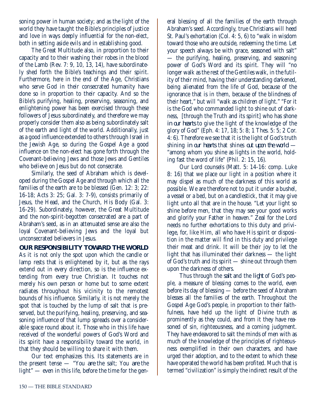soning power in human society; and as the light of the world they have taught the Bible's principles of justice and love in ways deeply influential for the non-elect, both in setting aside evils and in establishing good.

The Great Multitude also, in proportion to their capacity and to their washing their robes in the blood of the Lamb (Rev. 7: 9, 10, 13, 14), have subordinately shed forth the Bible's teachings and their spirit. Furthermore, here in the end of the Age, Christians who serve God in their consecrated humanity have done so in proportion to their capacity. And so the Bible's purifying, healing, preserving, seasoning, and enlightening power has been exercised through these followers of Jesus subordinately, and therefore we may properly consider them also as being subordinately salt of the earth and light of the world. Additionally, just as a good influence extended to others through Israel in the Jewish Age, so during the Gospel Age a good influence on the non-elect has gone forth through the Covenant-believing Jews and those Jews and Gentiles who believe on Jesus but do not consecrate.

Similarly, the seed of Abraham which is developed during the Gospel Age and through which all the families of the earth are to be blessed (Gen. 12: 3: 22: 16-18; Acts 3: 25; Gal. 3: 7-9), consists primarily of Jesus, the Head, and the Church, His Body (Gal. 3: 16-29). Subordinately, however, the Great Multitude and the non-spirit-begotten consecrated are a part of Abraham's seed, as in an attenuated sense are also the loyal Covenant-believing Jews and the loyal but unconsecrated believers in Jesus.

**OUR RESPONSIBILITY TOWARD THE WORLD**

As it is not only the spot upon which the candle or lamp rests that is enlightened by it, but as the rays extend out in every direction, so is the influence extending from every true Christian. It touches not merely his own person or home but to some extent radiates throughout his vicinity to the remotest bounds of his influence. Similarly, it is not merely the spot that is touched by the lump of salt that is preserved, but the purifying, healing, preserving, and seasoning influence of that lump spreads over a considerable space round about it. Those who in this life have received of the wonderful powers of God's Word and its spirit have a responsibility toward the world, in that they should be willing to share it with them.

Our text emphasizes this. Its statements are in the present tense — "You *are* the salt; You *are* the light" — even in this life, before the time for the gen-

eral blessing of all the families of the earth through Abraham's seed. Accordingly, true Christians will heed St. Paul's exhortation (Col. 4: 5, 6) to "walk in wisdom toward those who are outside, redeeming the time. Let your speech always be with grace, seasoned with salt" — the purifying, healing, preserving, and seasoning power of God's Word and its spirit. They will "no longer walk as the rest of the Gentiles walk, in the futility of their mind, having their understanding darkened, being alienated from the life of God, because of the ignorance that is in them, because of the blindness of their heart," but will "walk as children of light." "For it is the God who commanded light to shine out of darkness, [through the Truth and its spirit] who has shone *in our hearts* to give the light of the knowledge of the glory of God" (Eph. 4: 17, 18; 5: 8; 1 Thes. 5: 5; 2 Cor. 4: 6). Therefore we see that it is the light of God's truth shining *in our hearts* that shines *out upon the world* — "among whom you shine as lights in the world, holding fast the word of life" (Phil. 2: 15, 16).

Our Lord counsels (Matt. 5: 14-16: comp. Luke 8: 16) that we place our light in a position where it may dispel as much of the darkness of this world as possible. We are therefore not to put it under a bushel, a vessel or a bed, but on a candlestick, that it may give light unto all that are in the house. "Let your light so shine before men, that they may see your good works and glorify your Father in heaven." Zeal for the Lord needs no further exhortations to this duty and privilege, for, like Him, all who have His spirit or disposition in the matter will find in this duty and privilege their meat and drink. It will be their joy to let the light that has illuminated their darkness — the light of God's truth and its spirit — shine out through them upon the darkness of others.

Thus through the *salt* and the *light* of God's people, a measure of blessing comes to the world, even before its day of blessing — before the seed of Abraham blesses all the families of the earth. Throughout the Gospel Age God's people, in proportion to their faithfulness, have held up the light of Divine truth as prominently as they could, and from it they have reasoned of sin, righteousness, and a coming judgment. They have endeavored to salt the minds of men with as much of the knowledge of the principles of righteousness exemplified in their own characters, and have urged their adoption, and to the extent to which these have operated the world has been profited. Much that is termed "civilization" is simply the indirect result of the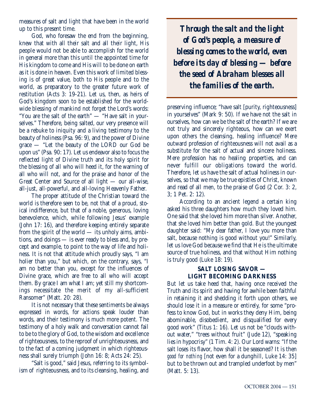measures of salt and light that have been in the world up to this present time.

God, who foresaw the end from the beginning, knew that with all their salt and all their light, His people would not be able to accomplish for the world in general more than this until the appointed time for His kingdom to come and His will to be done on earth as it is done in heaven. Even this work of limited blessing is of great value, both to His people and to the world, as preparatory to the greater future work of restitution (Acts 3: 19-21). Let us, then, as heirs of God's kingdom soon to be established for the worldwide blessing of mankind not forget the Lord's words: "You are the salt of the earth" — "Have salt in yourselves." Therefore, being salted, our very presence will be a rebuke to iniquity and a living testimony to the beauty of holiness (Psa. 96: 9), and the power of Divine grace — "Let the beauty of the LORD our God be upon us" (Psa. 90: 17). Let us endeavor also to focus the reflected light of Divine truth and its holy spirit for the blessing of all who will heed it, for the warning of all who will not, and for the praise and honor of the Great Center and Source of all light — our all-wise, all-just, all-powerful, and all-loving Heavenly Father.

The proper attitude of the Christian toward the world is therefore seen to be, not that of a proud, stoical indifference, but that of a noble, generous, loving benevolence, which, while following Jesus' example (John 17: 16), and therefore keeping entirely separate from the spirit of the world — its unholy aims, ambitions, and doings — is ever ready to bless and, by precept and example, to point to the way of life and holiness. It is not that attitude which proudly says, "I am holier than you," but which, on the contrary, says, "I am no better than you, except for the influences of Divine grace, which are free to all who will accept them. By grace I am what I am; yet still my shortcomings necessitate the merit of my all-sufficient Ransomer" (Matt. 20: 28).

It is not necessary that these sentiments be always expressed in words, for actions speak louder than words, and their testimony is much more potent. The testimony of a holy walk and conversation cannot fail to be to the glory of God, to the wisdom and excellence of righteousness, to the reproof of unrighteousness, and to the fact of a coming judgment in which righteousness shall surely triumph (John 16: 8; Acts 24: 25).

"Salt is good," said Jesus, referring to its symbolism of righteousness, and to its cleansing, healing, and

*Through the salt and the light of God's people, a measure of blessing comes to the world, even before its day of blessing — before the seed of Abraham blesses all the families of the earth.* 

preserving influence; "have salt [purity, righteousness] in yourselves" (Mark 9: 50). If we have not the salt in ourselves, how can we be the salt of the earth? If we are not truly and sincerely righteous, how can we exert upon others the cleansing, healing influence? Mere outward profession of righteousness will not avail as a substitute for the salt of actual and sincere holiness. Mere profession has no healing properties, and can never fulfill our obligations toward the world. Therefore, let us have the salt of actual holiness in ourselves, so that we may be true epistles of Christ, known and read of all men, to the praise of God (2 Cor. 3: 2, 3; 1 Pet. 2: 12).

According to an ancient legend a certain king asked his three daughters how much they loved him. One said that she loved him more than silver. Another, that she loved him better than gold. But the youngest daughter said: "My dear father, I love you more than salt, because nothing is good without you!" Similarly, let us love God because we find that He is the ultimate source of true holiness, and that without Him nothing is truly good (Luke 18: 19).

# **SALT LOSING SAVOR — LIGHT BECOMING DARKNESS**

But let us take heed that, having once received the Truth and its spirit and having for awhile been faithful in retaining it and shedding it forth upon others, we should lose it in a measure or entirely, for some "profess to know God, but in works they deny Him, being abominable, disobedient, and disqualified for every good work" (Titus 1: 16). Let us not be "clouds without water," "trees without fruit" (Jude 12), "speaking lies in hypocrisy" (1 Tim. 4: 2). Our Lord warns: "If the salt loses its flavor, how shall it be seasoned? It is then *good for nothing* [not even for a dunghill, Luke 14: 35] but to be thrown out and trampled underfoot by men" (Matt. 5: 13).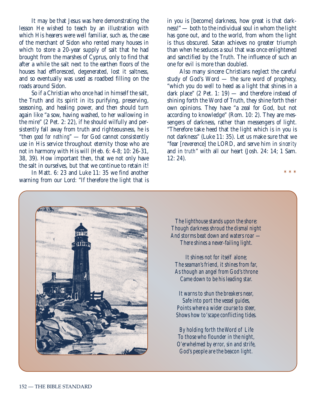It may be that Jesus was here demonstrating the lesson He wished to teach by an illustration with which His hearers were well familiar, such as, the case of the merchant of Sidon who rented many houses in which to store a 20-year supply of salt that he had brought from the marshes of Cyprus, only to find that after a while the salt next to the earthen floors of the houses had effloresced, degenerated, lost it saltness, and so eventually was used as roadbed filling on the roads around Sidon.

So if a Christian who once had in himself the salt, the Truth and its spirit in its purifying, preserving, seasoning, and healing power, and then should turn again like "a sow, having washed, to her wallowing in the mire" (2 Pet. 2: 22), if he should wilfully and persistently fall away from truth and righteousness, he is "then *good for nothing*" — for God cannot consistently use in His service throughout eternity those who are not in harmony with His will (Heb. 6: 4-8; 10: 26-31, 38, 39). How important then, that we not only have the salt in ourselves, but that we continue to retain it!

In Matt. 6: 23 and Luke 11: 35 we find another warning from our Lord: "If therefore the light that is in you is [become] darkness, how great is that darkness!" — both to the individual soul in whom the light has gone out, and to the world, from whom the light is thus obscured. Satan achieves no greater triumph than when he seduces a soul that was once enlightened and sanctified by the Truth. The influence of such an one for evil is more than doubled.

Also many sincere Christians neglect the careful study of God's Word — the sure word of prophecy, "which you do well to heed as a light that shines in a dark place"  $(2$  Pet. 1: 19) — and therefore instead of shining forth the Word of Truth, they shine forth their own opinions. They have "a zeal for God, but not according to knowledge" (Rom. 10: 2). They are messengers of darkness, rather than messengers of light. "Therefore take heed that the light which is in you is not darkness" (Luke 11: 35). Let us make sure that we "fear [reverence] the LORD, and serve him in *sincerity* and in *truth*" with all our heart (Josh. 24: 14; 1 Sam. 12: 24).

\* \* \*



The lighthouse stands upon the shore: Though darkness shroud the dismal night And storms beat down and waters roar — There shines a never-failing light.

It shines not for itself alone; The seaman's friend, it shines from far, As though an angel from God's throne Came down to be his leading star.

It warns to shun the breakers near, Safe into port the vessel guides, Points where a wider course to steer, Shows how to 'scape conflicting tides.

By holding forth the Word of Life To those who flounder in the night, O'erwhelmed by error, sin and strife, God's people are the beacon light.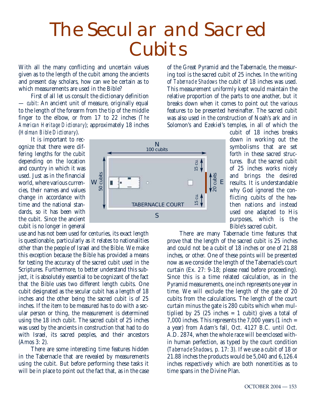# The Secular and Sacred **Cubits**

With all the many conflicting and uncertain values given as to the length of the cubit among the ancients and present day scholars, how can we be certain as to which measurements are used in the Bible?

First of all let us consult the dictionary definition — *cubit*: An ancient unit of measure, originally equal to the length of the forearm from the tip of the middle finger to the elbow, or from 17 to 22 inches (*The American Heritage Dictionary*); approximately 18 inches (*Holman Bible Dictionary*).

It is important to recognize that there were differing lengths for the cubit depending on the location and country in which it was used. Just as in the financial world, where various currencies, their names and values change in accordance with time and the national standards, so it has been with the cubit. Since the ancient cubit is no longer in general

use and has not been used for centuries, its exact length is questionable, particularly as it relates to nationalities other than the people of Israel and the Bible. We make this exception because the Bible has provided a means for testing the accuracy of the sacred cubit used in the Scriptures. Furthermore, to better understand this subject, it is absolutely essential to be cognizant of the fact that the Bible uses two different length cubits. One cubit designated as the secular cubit has a length of 18 inches and the other being the sacred cubit is of 25 inches. If the item to be measured has to do with a secular person or thing, the measurement is determined using the 18 inch cubit. The sacred cubit of 25 inches was used by the ancients in construction that had to do with Israel, its sacred peoples, and their ancestors (Amos 3: 2).

There are some interesting time features hidden in the Tabernacle that are revealed by measurements using the cubit. But before performing these tasks it will be in place to point out the fact that, as in the case of the Great Pyramid and the Tabernacle, the measuring tool is the sacred cubit of 25 inches. In the writing of *Tabernacle Shadows* the cubit of 18 inches was used. This measurement uniformly kept would maintain the relative proportion of the parts to one another, but it breaks down when it comes to point out the various features to be presented hereinafter. The sacred cubit was also used in the construction of Noah's ark and in Solomon's and Ezekiel's temples, in all of which the

> cubit of 18 inches breaks down in working out the symbolisms that are set forth in these sacred structures. But the sacred cubit of 25 inches works nicely and brings the desired results. It is understandable why God ignored the conflicting cubits of the heathen nations and instead used one adapted to His purposes, which is the Bible's sacred cubit.

There are many Tabernacle time features that prove that the length of the sacred cubit is 25 inches and could not be a cubit of 18 inches or one of 21.88 inches, or other. One of these points will be presented now as we consider the length of the Tabernacle's court curtain (Ex. 27: 9-18; please read before proceeding). Since this is a time related calculation, as in the Pyramid measurements, one inch represents one year in time. We will exclude the length of the gate of 20 cubits from the calculations. The length of the court curtain minus the gate is 280 cubits which when multiplied by 25 (25 inches  $= 1$  cubit) gives a total of 7,000 inches. This represents the 7,000 years  $(1 \text{ inch} =$ a year) from Adam's fall, Oct. 4127 B.C. until Oct. A.D. 2874, when the whole race will be enclosed within human perfection, as typed by the court condition (*Tabernacle Shadows,* p. 17: 3). If we use a cubit of 18 or 21.88 inches the products would be 5,040 and 6,126.4 inches respectively which are both nonentities as to time spans in the Divine Plan.

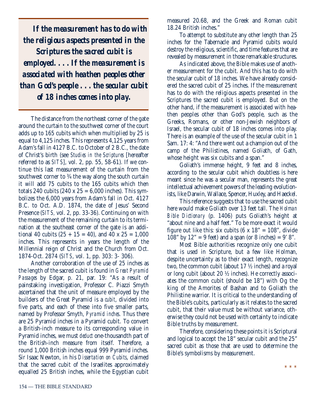*If the measurement has to do with the religious aspects presented in the Scriptures the sacred cubit is employed. . . . If the measurement is associated with heathen peoples other than God's people . . . the secular cubit of 18 inches comes into play.*

The distance from the northeast corner of the gate around the curtain to the southwest corner of the court adds up to 165 cubits which when multiplied by 25 is equal to 4,125 inches. This represents 4,125 years from Adam's fall in 4127 B.C. to October of 2 B.C., the date of Christ's birth (see *Studies in the Scriptures* [hereafter referred to as *SITS*], vol. 2, pp. 55, 58-61). If we continue this last measurement of the curtain from the southwest corner to <sup>3</sup>/<sub>4</sub> the way along the south curtain it will add 75 cubits to the 165 cubits which then totals 240 cubits  $(240 \times 25 = 6,000$  inches). This symbolizes the 6,000 years from Adam's fall in Oct. 4127 B.C. to Oct. A.D. 1874, the date of Jesus' Second Presence (*SITS,* vol. 2, pp. 33-36). Continuing on with the measurement of the remaining curtain to its termination at the southeast corner of the gate is an additional 40 cubits  $(25 + 15 = 40)$ , and 40 x  $25 = 1,000$ inches. This represents in years the length of the Millennial reign of Christ and the Church from Oct. 1874-Oct. 2874 (*SITS*, vol. 1, pp. 303: 3- 306).

Another corroboration of the use of 25 inches as the length of the sacred cubit is found in *Great Pyramid Passages* by Edgar, p. 21, par. 19: "As a result of painstaking investigation, Professor C. Piazzi Smyth ascertained that the unit of measure employed by the builders of the Great Pyramid is a *cubit*, divided into five parts, and each of these into five smaller parts, named by Professor Smyth, *Pyramid inches*. Thus there are 25 Pyramid inches in a Pyramid cubit. To convert a British-inch measure to its corresponding value in Pyramid inches, we must *deduct* one-thousandth part of the British-inch measure from itself. Therefore, a round 1,000 British inches equal 999 Pyramid inches. Sir Isaac Newton, in his *Dissertation on Cubits*, claimed that the sacred cubit of the Israelites approximately equalled 25 British inches, while the Egyptian cubit

measured 20.68, and the Greek and Roman cubit 18.24 British inches."

To attempt to substitute any other length than 25 inches for the Tabernacle and Pyramid cubits would destroy the religious, scientific, and time features that are revealed by measurement in those remarkable structures.

As indicated above, the Bible makes use of another measurement for the cubit. And this has to do with the secular cubit of 18 inches. We have already considered the sacred cubit of 25 inches. If the measurement has to do with the religious aspects presented in the Scriptures the sacred cubit is employed. But on the other hand, if the measurement is associated with heathen peoples other than God's people, such as the Greeks, Romans, or other non-Jewish neighbors of Israel, the secular cubit of 18 inches comes into play. There is an example of the use of the secular cubit in 1 Sam. 17: 4: "And there went out a champion out of the camp of the Philistines, named Goliath, of Gath, whose height was six cubits and a span."

Goliath's immense height, 9 feet and 8 inches, according to the secular cubit which doubtless is here meant since he was a secular man, represents the great intellectual achievement powers of the leading evolutionists, like Darwin, Wallace, Spencer, Huxley, and Haeckel.

This reference suggests that to use the sacred cubit here would make Goliath over 13 feet tall. The *Holman Bible Dictionary* (p. 1406) puts Goliath's height at "about nine and a half feet." To be more exact it would figure out like this: six cubits  $(6 \times 18)$ <sup>"</sup> = 108<sup>"</sup>, divide 108" by  $12" = 9$  feet) and a span (or 8 inches) = 9' 8".

Most Bible authorities recognize only one cubit that is used in Scripture, but a few like Holman, despite uncertainty as to their exact length, recognize two, the common cubit (about 17 ½ inches) and a royal or long cubit (about 20 ½ inches). He correctly associates the common cubit (should be 18") with Og the king of the Amorites of Bashan and to Goliath the Philistine warrior. It is critical to the understanding of the Bible's cubits, particularly as it relates to the sacred cubit, that their value must be without variance, otherwise they could not be used with certainty to indicate Bible truths by measurement.

Therefore, considering these points it is Scriptural and logical to accept the 18" secular cubit and the 25" sacred cubit as those that are used to determine the Bible's symbolisms by measurement.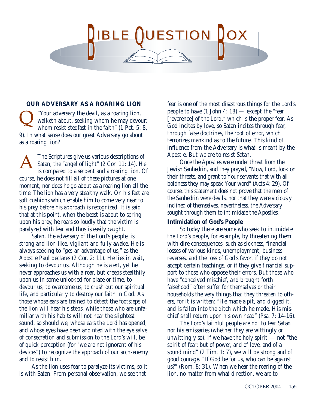

# **OUR ADVERSARY AS A ROARING LION**

"Your adversary the devil, as a roaring lion, walketh about, seeking whom he may devour: whom resist stedfast in the faith" (1 Pet. 5: 8, 9). In what sense does our great Adversary go about as a roaring lion?  $\overline{\mathsf{Q}}$ 

The Scriptures give us various descriptions of Satan, the "angel of light" (2 Cor. 11: 14). He is compared to a serpent and a roaring lion. Of course, he does not fill all of these pictures at one moment, nor does he go about as a roaring lion all the time. The lion has a very stealthy walk. On his feet are soft cushions which enable him to come very near to his prey before his approach is recognized. It is said that at this point, when the beast is about to spring upon his prey, he roars so loudly that the victim is paralyzed with fear and thus is easily caught. A

Satan, the adversary of the Lord's people, is strong and lion-like, vigilant and fully awake. He is always seeking to "get an advantage of us," as the Apostle Paul declares (2 Cor. 2: 11). He lies in wait, seeking to devour us. Although he is alert, yet he never approaches us with a roar, but creeps stealthily upon us in some unlooked-for place or time, to devour us, to overcome us, to crush out our spiritual life, and particularly to destroy our faith in God. As those whose ears are trained to detect the footsteps of the lion will hear his steps, while those who are unfamiliar with his habits will not hear the slightest sound, so should we, whose ears the Lord has opened, and whose eyes have been anointed with the eye salve of consecration and submission to the Lord's will, be of quick perception (for "we are not ignorant of his devices") to recognize the approach of our arch-enemy and to resist him.

As the lion uses fear to paralyze its victims, so it is with Satan. From personal observation, we see that

fear is one of the most disastrous things for the Lord's people to have  $(1$  John  $4: 18$  – except the "fear" [reverence] of the Lord," which is the proper fear. As God incites by love, so Satan incites through fear, through false doctrines, the root of error, which terrorizes mankind as to the future. This kind of influence from the Adversary is what is meant by the Apostle. But we are to resist Satan.

Once the Apostles were under threat from the Jewish Sanhedrin, and they prayed, "Now, Lord, look on their threats, and grant to Your servants that with all boldness they may speak Your word" (Acts 4: 29). Of course, this statement does not prove that the men of the Sanhedrin were devils, nor that they were viciously inclined of themselves, nevertheless, the Adversary sought through them to intimidate the Apostles.

## **Intimidation of God's People**

So today there are some who seek to intimidate the Lord's people, for example, by threatening them with dire consequences, such as sickness, financial losses of various kinds, unemployment, business reverses, and the loss of God's favor, if they do not accept certain teachings, or if they give financial support to those who oppose their errors. But those who have "conceived mischief, and brought forth falsehood" often suffer for themselves or their households the very things that they threaten to others, for it is written: "He made a pit, and digged it, and is fallen into the ditch which he made. His mischief shall return upon his own head" (Psa. 7: 14-16).

The Lord's faithful people are not to fear Satan nor his emissaries (whether they are wittingly or unwittingly so). If we have the holy spirit  $-$  not "the spirit of fear; but of power, and of love, and of a sound mind" (2 Tim. 1: 7), we will be strong and of good courage. "If God be for us, who can be against us?" (Rom. 8: 31). When we hear the roaring of the lion, no matter from what direction, we are to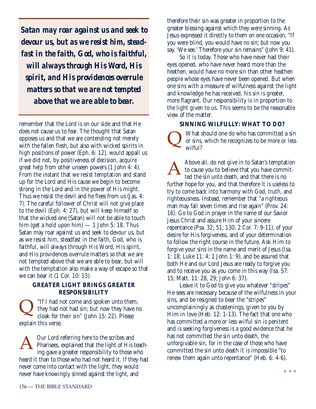*Satan may roar against us and seek to devour us, but as we resist him, steadfast in the faith, God, who is faithful, will always through His Word, His spirit, and His providences overrule matters so that we are not tempted above that we are able to bear.*

remember that the Lord is on our side and that He does not cause us to fear. The thought that Satan opposes us and that we are contending not merely with the fallen flesh, but also with wicked spirits in high positions of power (Eph. 6: 12), would appall us if we did not, by positiveness of decision, acquire great help from other unseen powers (1 John 4: 4). From the instant that we resist temptation and stand up for the Lord and His cause we begin to become strong in the Lord and in the power of His might. Thus we resist the devil and he flees from us (Jas. 4: 7). The careful follower of Christ will not give place to the devil (Eph. 4: 27), but will keep himself so that the wicked one (Satan) will not be able to touch him (get a hold upon him)  $-1$  John 5: 18. Thus Satan may roar against us and seek to devour us, but as we resist him, steadfast in the faith, God, who is faithful, will always through His Word, His spirit, and His providences overrule matters so that we are not tempted above that we are able to bear, but will with the temptation also make a way of escape so that we can bear it (1 Cor. 10: 13).

# **GREATER LIGHT BRINGS GREATER RESPONSIBILITY**

"If I had not come and spoken unto them, they had not had sin; but now they have no cloak for their sin" (John 15: 22). Please explain this verse.  $\overline{\mathsf{Q}}$ 

Our Lord referring here to the scribes and Pharisees, explained that the light of His teaching gave a greater responsibility to those who heard it than to those who had not heard it. If they had never come into contact with the light, they would never have knowingly sinned against the light, and A

therefore their sin was greater in proportion to the greater blessing against which they were sinning. As Jesus expressed it directly to them on one occasion, "If you were blind, you would have no sin; but now you say, 'We see.' Therefore your sin remains" (John 9: 41).

So it is today. Those who have never had their eyes opened, who have never heard more than the heathen, would have no more sin than other heathen people whose eyes have never been opened. But when one sins with a measure of wilfulness against the light and knowledge he has received, his sin is greater, more flagrant. Our responsibility is in proportion to the light given to us. This seems to be the reasonable view of the matter.

# **SINNING WILFULLY: WHAT TO DO?**

What should one do who has committed a sin or sins, which he recognizes to be more or less wilful?  $\overline{\mathsf{Q}}$ 

Above all, do not give in to Satan's temptation to cause you to believe that you have committed the sin unto death, and that there is no further hope for you, and that therefore it is useless to try to come back into harmony with God, truth, and righteousness. Instead, remember that "a righteous man may fall seven times and rise again" (Prov. 24: 16). Go to God in prayer in the name of our Savior Jesus Christ and assure Him of your sincere repentance (Psa. 32; 51; 130; 2 Cor. 7: 9-11), of your desire for His forgiveness, and of your determination to follow the right course in the future. Ask Him to forgive your sins in the name and merit of Jesus (Isa. 1: 18; Luke 11: 4; 1 John 1: 9), and be assured that both He and our Lord Jesus are ready to forgive you and to receive you as you come in this way (Isa. 57: 15; Matt. 11: 28, 29; John 6: 37). A

Leave it to God to give you whatever "stripes" He sees are necessary because of the wilfulness in your sins, and be resigned to bear the "stripes" uncomplainingly as chastenings, given to you by Him in love (Heb. 12: 1-13). The fact that one who has committed a more or less wilful sin is penitent and is seeking forgiveness is a good evidence that he has not committed the sin unto death, the unforgivable sin, for in the case of those who have committed the sin unto death it is impossible "to renew them again unto repentance" (Heb. 6: 4-6).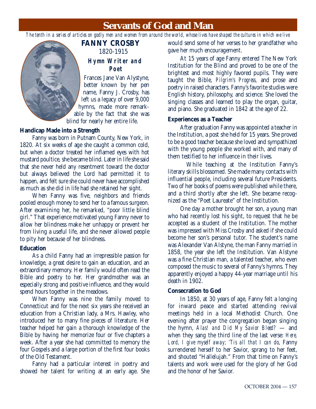# **Servants of God and Man**

*The tenth in a series of articles on godly men and women from around the world, whose lives have shaped the cultures in which we live*

# **FANNY CROSBY** 1820-1915

# **Hymn Writer and Poet**

Frances Jane Van Alystyne, better known by her pen name, Fanny J. Crosby, has left us a legacy of over 9,000 hymns, made more remarkable by the fact that she was blind for nearly her entire life.

# **Handicap Made into a Strength**

Fanny was born in Putnam County, New York, in 1820. At six weeks of age she caught a common cold, but when a doctor treated her inflamed eyes with hot mustard poultice, she became blind. Later in life she said that she never held any resentment toward the doctor but always believed the Lord had permitted it to happen, and felt sure she could never have accomplished as much as she did in life had she retained her sight.

When Fanny was five, neighbors and friends pooled enough money to send her to a famous surgeon. After examining her, he remarked, "poor little blind girl." That experience motivated young Fanny never to allow her blindness make her unhappy or prevent her from living a useful life, and she never allowed people to pity her because of her blindness.

# **Education**

As a child Fanny had an irrepressible passion for knowledge, a great desire to gain an education, and an extraordinary memory. Her family would often read the Bible and poetry to her. Her grandmother was an especially strong and positive influence, and they would spend hours together in the meadows.

When Fanny was nine the family moved to Connecticut and for the next six years she received an education from a Christian lady, a Mrs. Hawley, who introduced her to many fine pieces of literature. Her teacher helped her gain a thorough knowledge of the Bible by having her memorize four or five chapters a week. After a year she had committed to memory the four Gospels and a large portion of the first four books of the Old Testament.

Fanny had a particular interest in poetry and showed her talent for writing at an early age. She would send some of her verses to her grandfather who gave her much encouragement.

At 15 years of age Fanny entered The New York Institution for the Blind and proved to be one of the brightest and most highly favored pupils. They were taught the Bible, *Pilgrim's Progress,* and prose and poetry in raised characters. Fanny's favorite studies were English history, philosophy, and science. She loved the singing classes and learned to play the organ, guitar, and piano. She graduated in 1842 at the age of 22.

# **Experiences as a Teacher**

After graduation Fanny was appointed a teacher in the Institution, a post she held for 15 years. She proved to be a good teacher because she loved and sympathized with the young people she worked with, and many of them testified to her influence in their lives.

While teaching at the Institution Fanny's literary skills blossomed. She made many contacts with influential people, including several future Presidents. Two of her books of poems were published while there, and a third shortly after she left. She became recognized as the "Poet Laureate" of the Institution.

One day a mother brought her son, a young man who had recently lost his sight, to request that he be accepted as a student of the Institution. The mother was impressed with Miss Crosby and asked if she could become her son's personal tutor. The student's name was Alexander Van Alstyne, the man Fanny married in 1858, the year she left the Institution. Van Alstyne was a fine Christian man, a talented teacher, who even composed the music to several of Fanny's hymns. They apparently enjoyed a happy 44-year marriage until his death in 1902.

# **Consecration to God**

In 1850, at 30 years of age, Fanny felt a longing for inward peace and started attending revival meetings held in a local Methodist Church. One evening after prayer the congregation began singing the hymn, *Alas! and Did My Savior Bleed?* — and when they sang the third line of the last verse: *Here, Lord, I give myself away; 'Tis all that I can do*, Fanny surrendered herself to her Savior, sprang to her feet, and shouted "Hallelujah." From that time on Fanny's talents and work were used for the glory of her God and the honor of her Savior.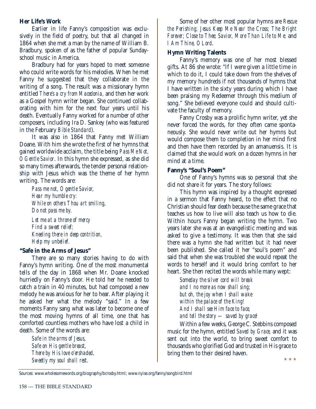# **Her Life's Work**

Earlier in life Fanny's composition was exclusively in the field of poetry, but that all changed in 1864 when she met a man by the name of William B. Bradbury, spoken of as the father of popular Sundayschool music in America.

Bradbury had for years hoped to meet someone who could write words for his melodies. When he met Fanny he suggested that they collaborate in the writing of a song. The result was a missionary hymn entitled *There's a cry from Macedonia,* and then her work as a Gospel hymn writer began. She continued collaborating with him for the next four years until his death. Eventually Fanny worked for a number of other composers, including Ira D. Sankey (who was featured in the February *Bible Standard*).

It was also in 1864 that Fanny met William Doane. With him she wrote the first of her hymns that gained worldwide acclaim, the title being *Pass Me Not, O Gentle Savior*. In this hymn she expressed, as she did so many times afterwards, the tender personal relationship with Jesus which was the theme of her hymn writing. The words are:

*Pass me not, O gentle Savior, Hear my humble cry: While on others Thou art smiling, Do not pass me by.*

*Let me at a throne of mercy Find a sweet relief; Kneeling there in deep contrition, Help my unbelief.*

# **"Safe in the Arms of Jesus"**

There are so many stories having to do with Fanny's hymn writing. One of the most monumental tells of the day in 1868 when Mr. Doane knocked hurriedly on Fanny's door. He told her he needed to catch a train in 40 minutes, but had composed a new melody he was anxious for her to hear. After playing it he asked her what the melody "said." In a few moments Fanny sang what was later to become one of the most moving hymns of all time, one that has comforted countless mothers who have lost a child in death. Some of the words are:

*Safe in the arms of Jesus, Safe on His gentle breast, There by His love o'ershaded, Sweetly my soul shall rest.*

Some of her other most popular hymns are *Rescue the Perishing; Jesus Keep Me Near the Cross; The Bright Forever; Close to Thee; Savior, More Than Life to Me;* and *I Am Thine, O Lord*.

# **Hymn Writing Talents**

Fanny's memory was one of her most blessed gifts. At 86 she wrote: "If I were given a little time in which to do it, I could take down from the shelves of my memory hundreds if not thousands of hymns that I have written in the sixty years during which I have been praising my Redeemer through this medium of song." She believed everyone could and should cultivate the faculty of memory.

Fanny Crosby was a prolific hymn writer, yet she never forced the words, for they often came spontaneously. She would never write out her hymns but would compose them to completion in her mind first and then have them recorded by an amanuensis. It is claimed that she would work on a dozen hymns in her mind at a time.

# **Fanny's "Soul's Poem"**

One of Fanny's hymns was so personal that she did not share it for years. The story follows:

This hymn was inspired by a thought expressed in a sermon that Fanny heard, to the effect that no Christian should fear death because the same grace that teaches us how to live will also teach us how to die. Within hours Fanny began writing the hymn. Two years later she was at an evangelistic meeting and was asked to give a testimony. It was then that she said there was a hymn she had written but it had never been published. She called it her "soul's poem" and said that when she was troubled she would repeat the words to herself and it would bring comfort to her heart. She then recited the words while many wept:

*Someday the silver cord will break and I no more as now shall sing; but oh, the joy when I shall wake within the palace of the King! And I shall see Him face to face, and tell the story — saved by grace!*

Within a few weeks, George C. Stebbins composed music for the hymn, entitled *Saved by Grace,* and it was sent out into the world, to bring sweet comfort to thousands who glorified God and trusted in His grace to bring them to their desired haven.

\* \* \*

Sources: www.wholesomewords.org/biography/bcrosby.html; www.nyise.org/fanny/songbird.html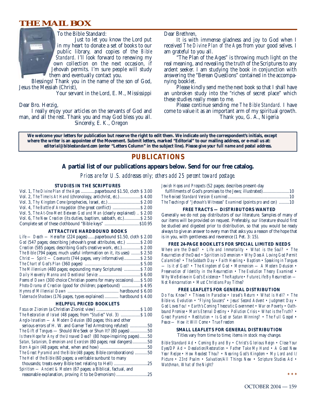# **THE MAIL BOX**



To the Bible Standard:

Just to let you know the Lord put in my heart to donate a set of books to our public library, and copies of the *Bible Standard*. I'll look forward to renewing my own collection on the next occasion, if Jehovah permits. I'm sure people will study them and eventually contact you.

Blessings! Thank you in the name of the son of God, Jesus the Messiah (Christ),

Your servant in the Lord, E. M., Mississippi

Dear Bro. Herzig,

I really enjoy your articles on the servants of God and man, and all the rest. Thank you and may God bless you all. Sincerely, E. K., Oregon

Dear Brethren,

It is with immense gladness and joy to God when I received *The Divine Plan of the Ages* from your good selves. I am grateful to you all.

"The Plan of the Ages" is throwing much light on the real meaning, and revealing the truth of the Scriptures to any ardent seeker. I am studying the book in conjunction with answering the "Berean Questions" contained in the accompanying booklet.

Please kindly send me the next book so that I shall have an unbroken study into the "riches of secret place" which these studies really mean to me.

Please continue sending me *The Bible Standard.* I have come to value it as an important arm of my spiritual growth. Thank you, G. A., Nigeria

**We welcome your letters for publication but reserve the right to edit them. We indicate only the correspondent's initials, except where the writer is an appointee of the Movement. Submit letters, marked "Editorial" to our mailing address, or e-mail us at:** *editorial@biblestandard.com* **(enter "Letters Column" in the subject line).** *Please give your full name and postal address.*

# **PUBLICATIONS**

### **A partial list of our publications appears below. Send for our free catalog.**

*Prices are for U.S. addresses only; others add 25 percent toward postage.*

#### **STUDIES IN THE SCRIPTURES**

| Vol. 1, The Divine Plan of the Ages  paperbound \$1.50, cloth \$3.00     |  |
|--------------------------------------------------------------------------|--|
| Vol. 2, The Time Is At Hand (chronology, antichrist, etc.) \$4.00        |  |
|                                                                          |  |
| Vol. 4, The Battle of Armageddon (the great conflict)  \$ 2.00           |  |
| Vol. 5, The At-One-Ment Between God and Man (clearly explained)  \$ 2.00 |  |
| Vol. 6, The New Creation (its duties, baptism, sabbath, etc.) \$2.50     |  |
| Complete set of these clothbound "Bible keys" \$10.95                    |  |

#### **ATTRACTIVE HARDBOUND BOOKS**

| Life — Death — Hereafter (224 pages)  paperbound \$1.50, cloth \$2.00  |
|------------------------------------------------------------------------|
| God (547 pages; describing Jehovah's great attributes, etc.)  \$2.00   |
| Creation (585 pages; describing God's creative work, etc.) \$2.00      |
| The Bible (794 pages; much useful information on it, its uses)  \$2.50 |
| $Christ - Spirit - Covenants (744 pages, very informative) $ \$ 2.50   |
|                                                                        |
| The Millennium (480 pages; expounding many Scriptures)  \$7.00         |
|                                                                        |
| Poems of Dawn (300 choice Christian poems for many occasions) \$5.00   |
| <i>Photo-Drama of Creation</i> (good for children; paperbound)  \$4.95 |
|                                                                        |
| Tabernacle Shadows (176 pages, types explained)  hardbound \$4.00      |
|                                                                        |

#### **HELPFUL PRICED BOOKLETS**

| Anglo-Israelism — A Modern Delusion (80 pages; this and other          |     |
|------------------------------------------------------------------------|-----|
| serious errors of H. W. and Garner Ted Armstrong refuted) 50           |     |
| <i>The Gift of Tongues</i> — Should We Seek or Shun It? (80 pages) 50  |     |
| Is there Hope for Any of the Unsaved Dead? (80 hope-inspiring pages)50 |     |
| Satan, Satanism, Demonism and Exorcism (80 pages; real dangers)50      |     |
|                                                                        |     |
| The Great Pyramid and the Bible (48 pages; Bible corroborations) 50    |     |
| The Hell of the Bible (60 pages; a veritable sunburst to many          |     |
|                                                                        |     |
| Spiritism - Ancient & Modern (67 pages; a Biblical, factual, and       |     |
| reasonable explanation, proving it to be Demonism                      | .25 |

*Jewish Hopes and Prospects* (52 pages; describes present-day

| The Teachings of "Jehovah's Witnesses" Examined (points pro and con) 10 |  |
|-------------------------------------------------------------------------|--|

#### **FREE TRACTS — DISTRIBUTORS WANTED**

Generally we do not pay distributors of our literature. Samples of many of our items will be provided on request. Preferably, our literature should first be studied and digested prior to distribution, so that you would be ready always to give an answer to every man that asks you a reason of the hope that is in you, with gentleness and reverence (1 Pet. 3: 15).

#### **FREE 24-PAGE BOOKLETS FOR SPECIAL LIMITED NEEDS**

*Where are the Dead? • Life and Immortality • What is the Soul? • The Resurrection of the Dead • Spiritism is Demonism • Why Does A Loving God Permit Calamities? • The Sabbath Day • Faith Healing • Baptism • Speaking in Tongues — Is it of God? • The Kingdom of God • Mormonism — A Modern Delusion • Preservation of Identity in the Resurrection • The Evolution Theory Examined • Why We Believe in God's Existence • The Rapture • Future Life By Resurrection — Not Reincarnation • Must Christians Pay Tithes?*

#### **FREE LEAFLETS FOR GENERAL DISTRIBUTION**

*Do You Know? • Thieves In Paradise • Israel's Return • What is Hell? • The Bible vs. Evolution • "Flying Saucers" • Jesus' Second Advent • Judgment Day • God Loves You! • Earth's Coming Theocratic Government • War on Poverty • Oathbound Promise • Man's Eternal Destiny • Pollution Crisis • What is the Truth? • Great Pyramid • Restitution • Is God or Satan Winning? • The Full Gospel • Peace — How it Will Come • True Freedom*

#### **SMALL LEAFLETS FOR GENERAL DISTRIBUTION**

Titles vary from time to time; items in stock may change.

*Bible Standard Ad • Coming By and By • Christ's Glorious Reign • Close Your Eyes/DP Ad • Desolation/Restoration • Father Take My Hand • A Good New Year Recipe • How Readest Thou? • Nearing God's Kingdom • My Lord and I/ Picture • 23rd Psalm • Salvation/All Things New • Scripture Studies Ad • Watchman, What of the Night?*

**\*\*\***